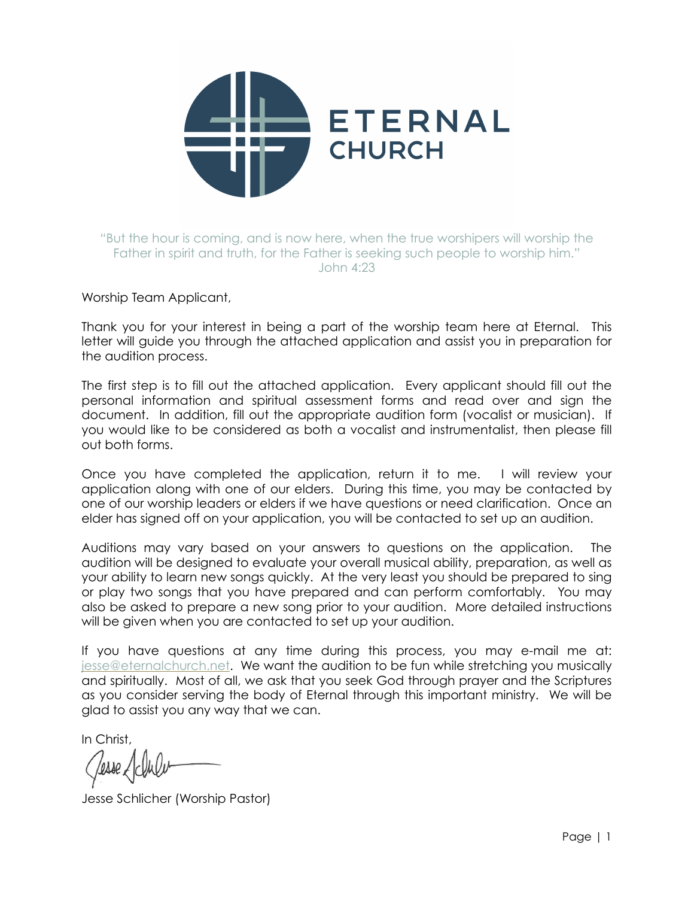

# "But the hour is coming, and is now here, when the true worshipers will worship the Father in spirit and truth, for the Father is seeking such people to worship him." John 4:23

### Worship Team Applicant,

Thank you for your interest in being a part of the worship team here at Eternal. This letter will guide you through the attached application and assist you in preparation for the audition process.

The first step is to fill out the attached application. Every applicant should fill out the personal information and spiritual assessment forms and read over and sign the document. In addition, fill out the appropriate audition form (vocalist or musician). If you would like to be considered as both a vocalist and instrumentalist, then please fill out both forms.

Once you have completed the application, return it to me. I will review your application along with one of our elders. During this time, you may be contacted by one of our worship leaders or elders if we have questions or need clarification. Once an elder has signed off on your application, you will be contacted to set up an audition.

Auditions may vary based on your answers to questions on the application. The audition will be designed to evaluate your overall musical ability, preparation, as well as your ability to learn new songs quickly. At the very least you should be prepared to sing or play two songs that you have prepared and can perform comfortably. You may also be asked to prepare a new song prior to your audition. More detailed instructions will be given when you are contacted to set up your audition.

If you have questions at any time during this process, you may e-mail me at: [jesse@eternalchurch.net.](mailto:jesse@eternalchurch.net?subject=) We want the audition to be fun while stretching you musically and spiritually. Most of all, we ask that you seek God through prayer and the Scriptures as you consider serving the body of Eternal through this important ministry. We will be glad to assist you any way that we can.

In Christ,

Jesse Schlicher (Worship Pastor)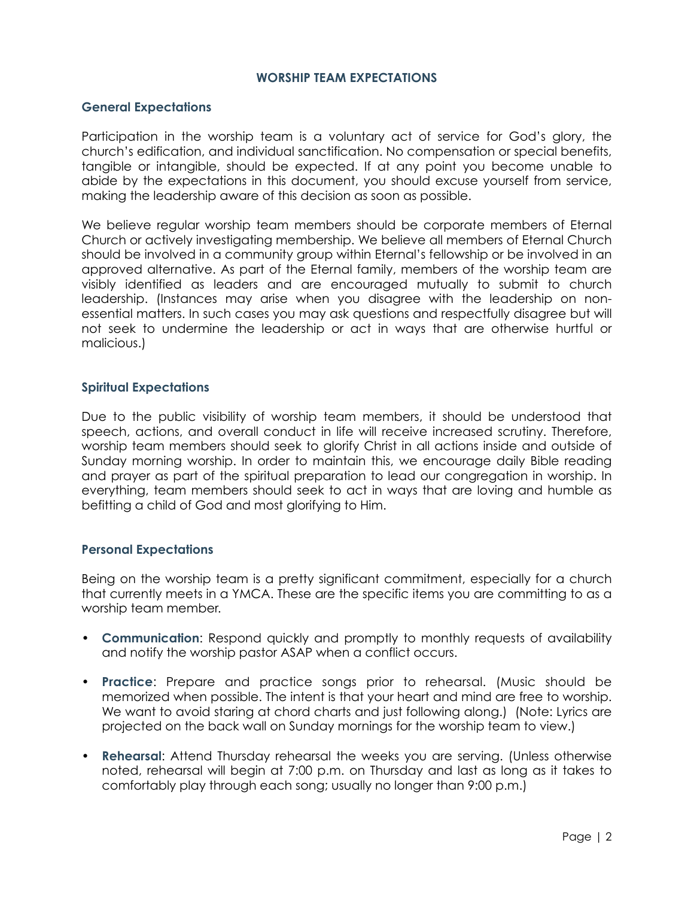#### **WORSHIP TEAM EXPECTATIONS**

## **General Expectations**

Participation in the worship team is a voluntary act of service for God's glory, the church's edification, and individual sanctification. No compensation or special benefits, tangible or intangible, should be expected. If at any point you become unable to abide by the expectations in this document, you should excuse yourself from service, making the leadership aware of this decision as soon as possible.

We believe regular worship team members should be corporate members of Eternal Church or actively investigating membership. We believe all members of Eternal Church should be involved in a community group within Eternal's fellowship or be involved in an approved alternative. As part of the Eternal family, members of the worship team are visibly identified as leaders and are encouraged mutually to submit to church leadership. (Instances may arise when you disagree with the leadership on nonessential matters. In such cases you may ask questions and respectfully disagree but will not seek to undermine the leadership or act in ways that are otherwise hurtful or malicious.)

### **Spiritual Expectations**

Due to the public visibility of worship team members, it should be understood that speech, actions, and overall conduct in life will receive increased scrutiny. Therefore, worship team members should seek to glorify Christ in all actions inside and outside of Sunday morning worship. In order to maintain this, we encourage daily Bible reading and prayer as part of the spiritual preparation to lead our congregation in worship. In everything, team members should seek to act in ways that are loving and humble as befitting a child of God and most glorifying to Him.

#### **Personal Expectations**

Being on the worship team is a pretty significant commitment, especially for a church that currently meets in a YMCA. These are the specific items you are committing to as a worship team member.

- **Communication**: Respond quickly and promptly to monthly requests of availability and notify the worship pastor ASAP when a conflict occurs.
- **Practice**: Prepare and practice songs prior to rehearsal. (Music should be memorized when possible. The intent is that your heart and mind are free to worship. We want to avoid staring at chord charts and just following along.) (Note: Lyrics are projected on the back wall on Sunday mornings for the worship team to view.)
- **Rehearsal**: Attend Thursday rehearsal the weeks you are serving. (Unless otherwise noted, rehearsal will begin at 7:00 p.m. on Thursday and last as long as it takes to comfortably play through each song; usually no longer than 9:00 p.m.)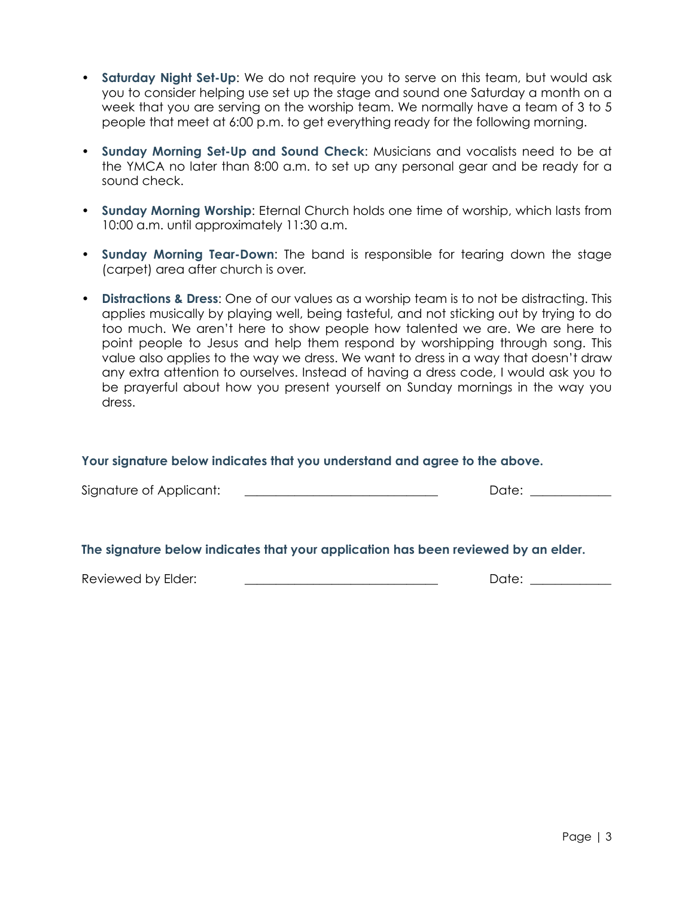- **Saturday Night Set-Up**: We do not require you to serve on this team, but would ask you to consider helping use set up the stage and sound one Saturday a month on a week that you are serving on the worship team. We normally have a team of 3 to 5 people that meet at 6:00 p.m. to get everything ready for the following morning.
- **Sunday Morning Set-Up and Sound Check**: Musicians and vocalists need to be at the YMCA no later than 8:00 a.m. to set up any personal gear and be ready for a sound check.
- **Sunday Morning Worship**: Eternal Church holds one time of worship, which lasts from 10:00 a.m. until approximately 11:30 a.m.
- **Sunday Morning Tear-Down**: The band is responsible for tearing down the stage (carpet) area after church is over.
- **Distractions & Dress**: One of our values as a worship team is to not be distracting. This applies musically by playing well, being tasteful, and not sticking out by trying to do too much. We aren't here to show people how talented we are. We are here to point people to Jesus and help them respond by worshipping through song. This value also applies to the way we dress. We want to dress in a way that doesn't draw any extra attention to ourselves. Instead of having a dress code, I would ask you to be prayerful about how you present yourself on Sunday mornings in the way you dress.

#### **Your signature below indicates that you understand and agree to the above.**

| Signature of Applicant:                                                            | Date: |  |  |
|------------------------------------------------------------------------------------|-------|--|--|
|                                                                                    |       |  |  |
| The signature below indicates that your application has been reviewed by an elder. |       |  |  |
| Reviewed by Elder:                                                                 | Date: |  |  |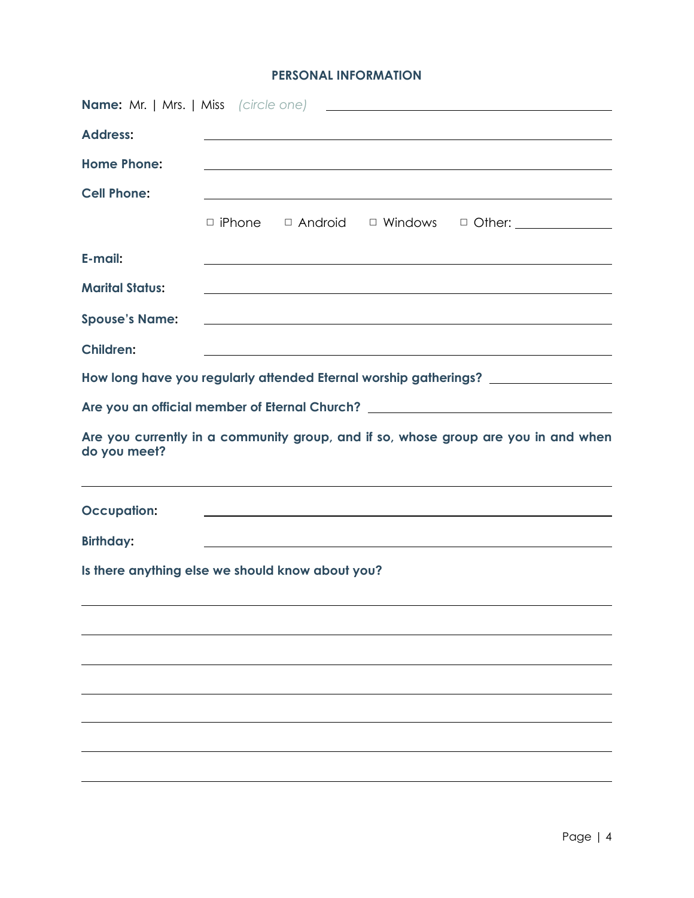# **PERSONAL INFORMATION**

| <b>Address:</b>                                  |  |                                                                                                                                                                                                           |
|--------------------------------------------------|--|-----------------------------------------------------------------------------------------------------------------------------------------------------------------------------------------------------------|
| <b>Home Phone:</b>                               |  | <u> 1989 - Johann Stoff, amerikansk politiker (d. 1989)</u>                                                                                                                                               |
| <b>Cell Phone:</b>                               |  | and the control of the control of the control of the control of the control of the control of the control of the                                                                                          |
|                                                  |  | □ iPhone □ Android □ Windows □ Other: _____________                                                                                                                                                       |
| E-mail:                                          |  | <u> 1989 - Johann Stoff, amerikansk politiker (d. 1989)</u>                                                                                                                                               |
| <b>Marital Status:</b>                           |  | <u> 1989 - Andrea Santa Andrea Andrea Andrea Andrea Andrea Andrea Andrea Andrea Andrea Andrea Andrea Andrea Andr</u>                                                                                      |
| <b>Spouse's Name:</b>                            |  | <u> 1989 - Johann John Stone, meilich aus der Stone († 1989)</u>                                                                                                                                          |
| <b>Children:</b>                                 |  | <u> 1989 - Johann Stoff, amerikansk politiker (d. 1989)</u>                                                                                                                                               |
|                                                  |  | How long have you regularly attended Eternal worship gatherings? _______________                                                                                                                          |
|                                                  |  | Are you an official member of Eternal Church? __________________________________                                                                                                                          |
| do you meet?                                     |  | Are you currently in a community group, and if so, whose group are you in and when                                                                                                                        |
| <b>Occupation:</b>                               |  | ,我们也不会有什么。""我们的人,我们也不会有什么?""我们的人,我们也不会有什么?""我们的人,我们也不会有什么?""我们的人,我们也不会有什么?""我们的人<br><u> 1989 - Johann John Stoff, deutscher Stoffen und der Stoffen und der Stoffen und der Stoffen und der Stoffen u</u> |
| <b>Birthday:</b>                                 |  |                                                                                                                                                                                                           |
| Is there anything else we should know about you? |  |                                                                                                                                                                                                           |
|                                                  |  |                                                                                                                                                                                                           |
|                                                  |  |                                                                                                                                                                                                           |
|                                                  |  |                                                                                                                                                                                                           |
|                                                  |  |                                                                                                                                                                                                           |
|                                                  |  |                                                                                                                                                                                                           |
|                                                  |  |                                                                                                                                                                                                           |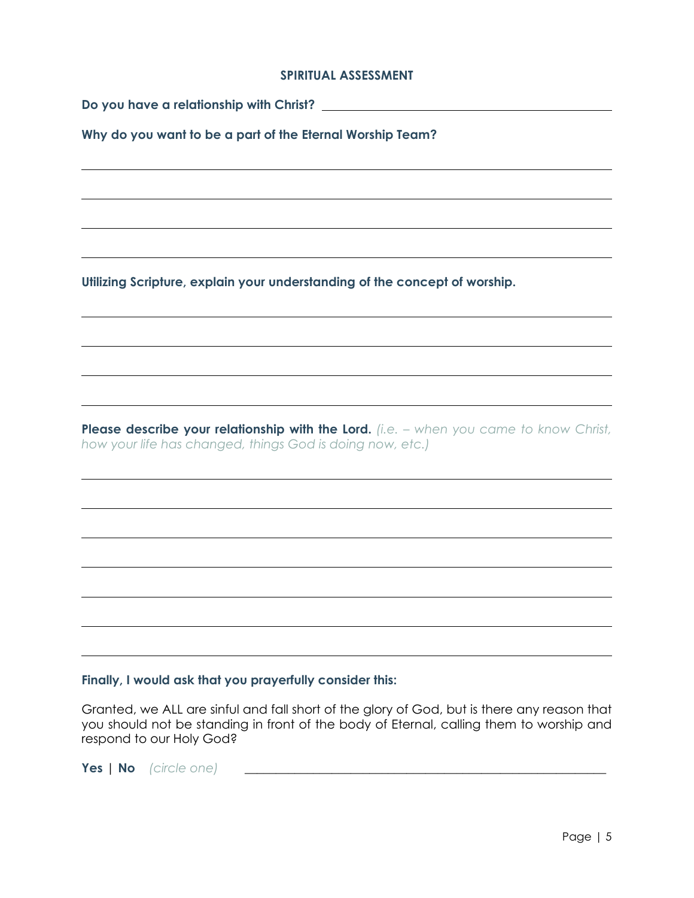### **SPIRITUAL ASSESSMENT**

**Why do you want to be a part of the Eternal Worship Team?** 

**Utilizing Scripture, explain your understanding of the concept of worship.**

**Please describe your relationship with the Lord.** *(i.e. – when you came to know Christ, how your life has changed, things God is doing now, etc.)*

## **Finally, I would ask that you prayerfully consider this:**

Granted, we ALL are sinful and fall short of the glory of God, but is there any reason that you should not be standing in front of the body of Eternal, calling them to worship and respond to our Holy God?

**Yes** | **No** *(circle one)* \_\_\_\_\_\_\_\_\_\_\_\_\_\_\_\_\_\_\_\_\_\_\_\_\_\_\_\_\_\_\_\_\_\_\_\_\_\_\_\_\_\_\_\_\_\_\_\_\_\_\_\_\_\_\_\_\_\_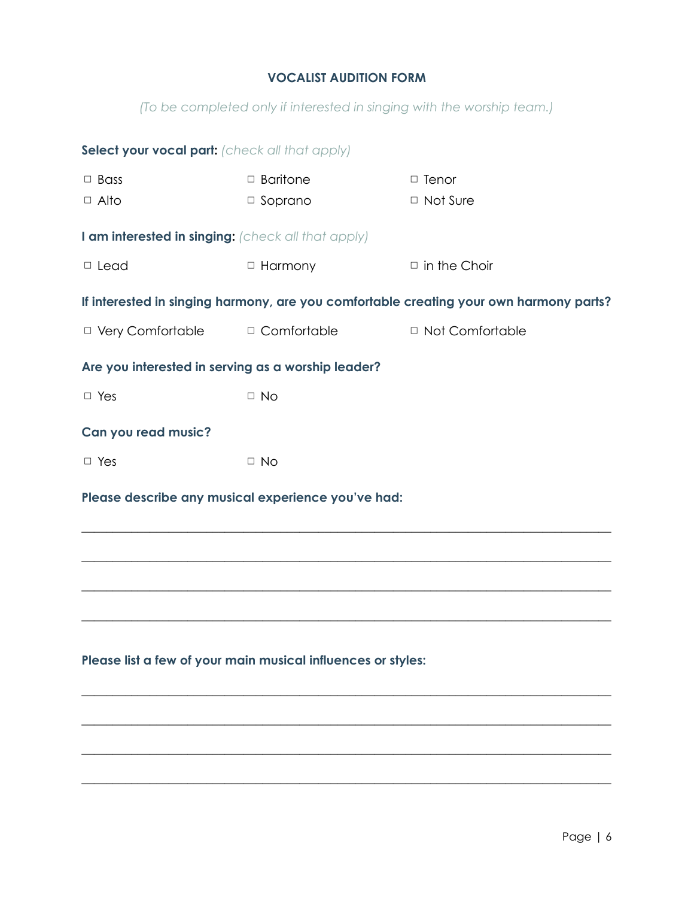# **VOCALIST AUDITION FORM**

*(To be completed only if interested in singing with the worship team.)*

| Select your vocal part: (check all that apply)               |                 |                                                                                        |  |  |  |  |
|--------------------------------------------------------------|-----------------|----------------------------------------------------------------------------------------|--|--|--|--|
| $\Box$ Bass                                                  | $\Box$ Baritone | $\Box$ Tenor                                                                           |  |  |  |  |
| $\Box$ Alto                                                  | $\Box$ Soprano  | $\Box$ Not Sure                                                                        |  |  |  |  |
| I am interested in singing: (check all that apply)           |                 |                                                                                        |  |  |  |  |
| $\Box$ Lead                                                  | □ Harmony       | $\Box$ in the Choir                                                                    |  |  |  |  |
|                                                              |                 | If interested in singing harmony, are you comfortable creating your own harmony parts? |  |  |  |  |
| □ Very Comfortable                                           | □ Comfortable   | □ Not Comfortable                                                                      |  |  |  |  |
| Are you interested in serving as a worship leader?           |                 |                                                                                        |  |  |  |  |
| $\Box$ Yes                                                   | $\Box$ No       |                                                                                        |  |  |  |  |
| Can you read music?                                          |                 |                                                                                        |  |  |  |  |
| $\Box$ Yes                                                   | $\Box$ No       |                                                                                        |  |  |  |  |
| Please describe any musical experience you've had:           |                 |                                                                                        |  |  |  |  |
|                                                              |                 |                                                                                        |  |  |  |  |
|                                                              |                 |                                                                                        |  |  |  |  |
|                                                              |                 |                                                                                        |  |  |  |  |
|                                                              |                 |                                                                                        |  |  |  |  |
|                                                              |                 |                                                                                        |  |  |  |  |
| Please list a few of your main musical influences or styles: |                 |                                                                                        |  |  |  |  |
|                                                              |                 |                                                                                        |  |  |  |  |

 $\_$  , and the set of the set of the set of the set of the set of the set of the set of the set of the set of the set of the set of the set of the set of the set of the set of the set of the set of the set of the set of th

\_\_\_\_\_\_\_\_\_\_\_\_\_\_\_\_\_\_\_\_\_\_\_\_\_\_\_\_\_\_\_\_\_\_\_\_\_\_\_\_\_\_\_\_\_\_\_\_\_\_\_\_\_\_\_\_\_\_\_\_\_\_\_\_\_\_\_\_\_\_\_\_\_\_\_\_\_\_\_\_\_\_\_\_\_

\_\_\_\_\_\_\_\_\_\_\_\_\_\_\_\_\_\_\_\_\_\_\_\_\_\_\_\_\_\_\_\_\_\_\_\_\_\_\_\_\_\_\_\_\_\_\_\_\_\_\_\_\_\_\_\_\_\_\_\_\_\_\_\_\_\_\_\_\_\_\_\_\_\_\_\_\_\_\_\_\_\_\_\_\_